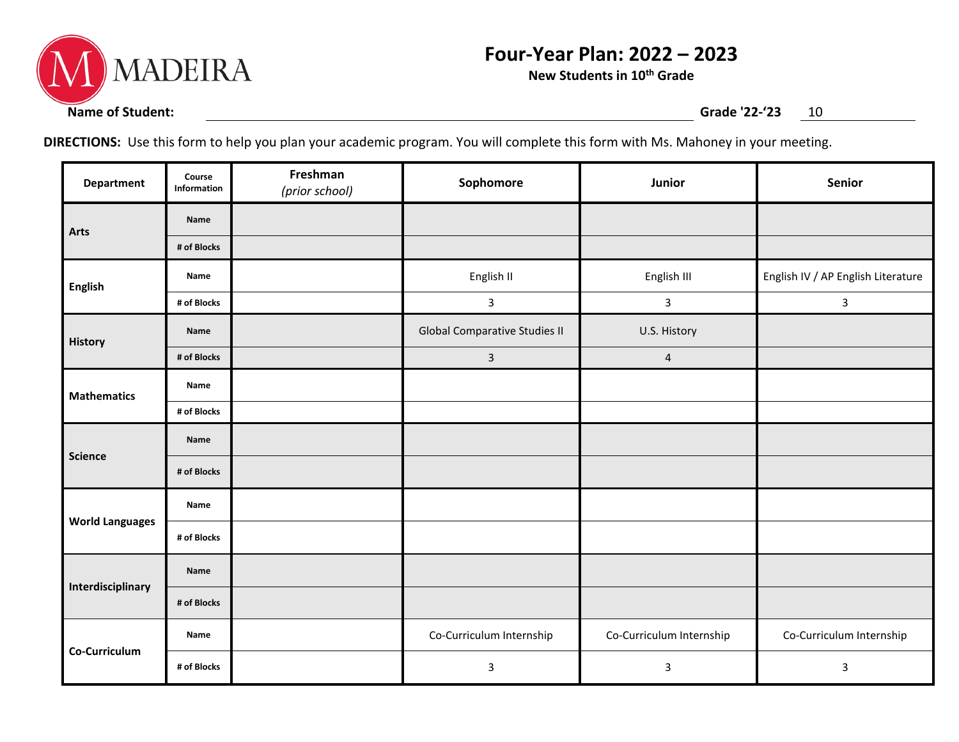

## **Four-Year Plan: 2022 – 2023**

**New Students in 10th Grade**

**DIRECTIONS:** Use this form to help you plan your academic program. You will complete this form with Ms. Mahoney in your meeting.

| <b>Department</b>      | Course<br>Information | Freshman<br>(prior school) | Sophomore                            | Junior                   | Senior                             |
|------------------------|-----------------------|----------------------------|--------------------------------------|--------------------------|------------------------------------|
| Arts                   | Name                  |                            |                                      |                          |                                    |
|                        | # of Blocks           |                            |                                      |                          |                                    |
| <b>English</b>         | Name                  |                            | English II                           | English III              | English IV / AP English Literature |
|                        | # of Blocks           |                            | $\mathbf{3}$                         | $\mathbf{3}$             | $\mathbf{3}$                       |
| <b>History</b>         | Name                  |                            | <b>Global Comparative Studies II</b> | U.S. History             |                                    |
|                        | # of Blocks           |                            | $\overline{3}$                       | $\overline{\mathbf{4}}$  |                                    |
| <b>Mathematics</b>     | Name                  |                            |                                      |                          |                                    |
|                        | # of Blocks           |                            |                                      |                          |                                    |
| <b>Science</b>         | Name                  |                            |                                      |                          |                                    |
|                        | # of Blocks           |                            |                                      |                          |                                    |
| <b>World Languages</b> | Name                  |                            |                                      |                          |                                    |
|                        | # of Blocks           |                            |                                      |                          |                                    |
| Interdisciplinary      | Name                  |                            |                                      |                          |                                    |
|                        | # of Blocks           |                            |                                      |                          |                                    |
| Co-Curriculum          | Name                  |                            | Co-Curriculum Internship             | Co-Curriculum Internship | Co-Curriculum Internship           |
|                        | # of Blocks           |                            | $\mathsf{3}$                         | 3                        | 3                                  |